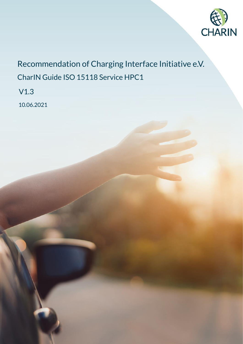

# Recommendation of Charging Interface Initiative e.V. CharIN Guide ISO 15118 Service HPC1

V1.3

10.06.2021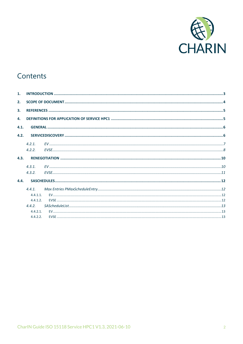

## Contents

| 1.           |             |  |  |
|--------------|-------------|--|--|
| 2.           |             |  |  |
| 3.           |             |  |  |
|              |             |  |  |
| $\mathbf{4}$ |             |  |  |
| 4.1.         |             |  |  |
| 4.2.         |             |  |  |
|              | 4.2.1       |  |  |
|              | 4.2.2.      |  |  |
| 4.3.         |             |  |  |
|              | 4.3.1.      |  |  |
|              | 4.3.2.      |  |  |
| 4.4.         |             |  |  |
|              | 4.4.1.      |  |  |
|              | $4.4.1.1$ . |  |  |
|              | 4.4.1.2.    |  |  |
|              | 4.4.2       |  |  |
|              | 4.4.2.1     |  |  |
|              | 4.4.2.2.    |  |  |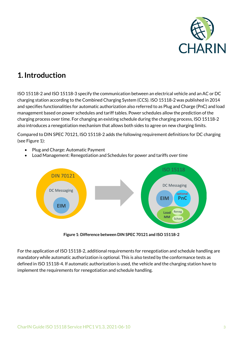

## <span id="page-2-0"></span>**1.Introduction**

[ISO 15118-2](#page-4-2) and [ISO 15118-3](#page-4-3) specify the communication between an electrical vehicle and an AC or DC charging station according to the Combined Charging System (CCS)[. ISO 15118-2](#page-4-2) was published in 2014 and specifies functionalities for automatic authorization also referred to as Plug and Charge (PnC) and load management based on power schedules and tariff tables. Power schedules allow the prediction of the charging process over time. For changing an existing schedule during the charging process[, ISO 15118-2](#page-4-2) also introduces a renegotiation mechanism that allows both sides to agree on new charging limits.

Compared to DIN SPEC [70121,](#page-4-4) [ISO 15118-2](#page-4-2) adds the following requirement definitions for DC charging (se[e Figure 1\)](#page-2-1):

- Plug and Charge: Automatic Payment
- Load Management: Renegotiation and Schedules for power and tariffs over time



**Figure 1: Difference between DIN SPEC [70121](#page-4-4) an[d ISO 15118-2](#page-4-2)**

<span id="page-2-1"></span>For the application of [ISO 15118-2,](#page-4-2) additional requirements for renegotiation and schedule handling are mandatory while automatic authorization is optional. This is also tested by the conformance tests as defined i[n ISO 15118-4.](#page-4-5) If automatic authorization is used, the vehicle and the charging station have to implement the requirements for renegotiation and schedule handling.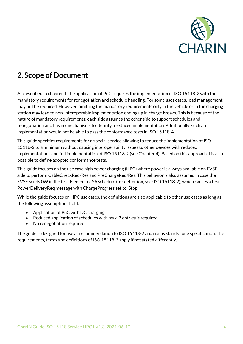

## <span id="page-3-0"></span>**2. Scope of Document**

As described in chapter [1,](#page-2-0) the application of PnC requires the implementation of [ISO 15118-2](#page-4-2) with the mandatory requirements for renegotiation and schedule handling. For some uses cases, load management may not be required. However, omitting the mandatory requirements only in the vehicle or in the charging station may lead to non-interoperable implementation ending up in charge breaks. This is because of the nature of mandatory requirements: each side assumes the other side to support schedules and renegotiation and has no mechanisms to identify a reduced implementation. Additionally, such an implementation would not be able to pass the conformance tests i[n ISO 15118-4.](#page-4-5)

This guide specifies requirements for a special service allowing to reduce the implementation of [ISO](#page-4-2)  [15118-2](#page-4-2) to a minimum without causing interoperability issues to other devices with reduced implementations and full implementation o[f ISO 15118-2](#page-4-2) (see Chapte[r 4\)](#page-4-1). Based on this approach it is also possible to define adopted conformance tests.

This guide focuses on the use case high power charging (HPC) where power is always available on EVSE side to perform CableCheckReq/Res and PreChargeReq/Res. This behavior is also assumed in case the EVSE sends 0W in the first Element of SASchedule (for definition, see[: ISO 15118-2\)](#page-4-2), which causes a first PowerDeliveryReq message with ChargeProgress set to 'Stop'.

While the guide focuses on HPC use cases, the definitions are also applicable to other use cases as long as the following assumptions hold:

- Application of PnC with DC charging
- Reduced application of schedules with max. 2 entries is required
- No renegotiation required

The guide is designed for use as recommendation to [ISO 15118-2](#page-4-2) and not as stand-alone specification. The requirements, terms and definitions of [ISO 15118-2](#page-4-2) apply if not stated differently.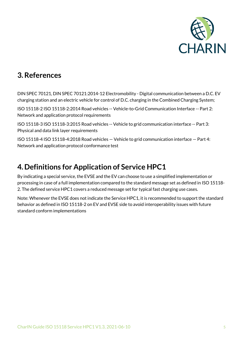

## <span id="page-4-0"></span>**3.References**

<span id="page-4-4"></span>DIN SPEC 70121, DIN SPEC 70121:2014-12 Electromobility - Digital communication between a D.C. EV charging station and an electric vehicle for control of D.C. charging in the Combined Charging System;

<span id="page-4-2"></span>ISO 15118-2 ISO 15118-2:2014 Road vehicles -- Vehicle-to-Grid Communication Interface -- Part 2: Network and application protocol requirements

<span id="page-4-3"></span>ISO 15118-3 ISO 15118-3:2015 Road vehicles -- Vehicle to grid communication interface -- Part 3: Physical and data link layer requirements

<span id="page-4-5"></span>ISO 15118-4 ISO 15118-4:2018 Road vehicles — Vehicle to grid communication interface — Part 4: Network and application protocol conformance test

## <span id="page-4-1"></span>**4.Definitions for Application of Service HPC1**

By indicating a special service, the EVSE and the EV can choose to use a simplified implementation or processing in case of a full implementation compared to the standard message set as defined i[n ISO 15118-](#page-4-2) [2.](#page-4-2) The defined service HPC1 covers a reduced message set for typical fast charging use cases.

Note: Whenever the EVSE does not indicate the Service HPC1, it is recommended to support the standard behavior as defined i[n ISO 15118-2](#page-4-2) on EV and EVSE side to avoid interoperability issues with future standard conform implementations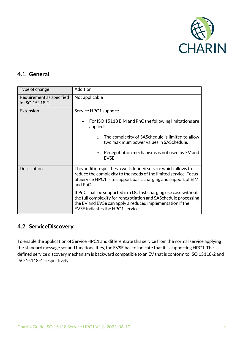

## <span id="page-5-0"></span>**4.1. General**

| Type of change                             | Addition                                                                                                                                                                                                                             |
|--------------------------------------------|--------------------------------------------------------------------------------------------------------------------------------------------------------------------------------------------------------------------------------------|
| Requirement as specified<br>in ISO 15118-2 | Not applicable                                                                                                                                                                                                                       |
| Extension                                  | Service HPC1 support:                                                                                                                                                                                                                |
|                                            | For ISO 15118 EIM and PnC the following limitations are<br>applied:                                                                                                                                                                  |
|                                            | The complexity of SAS chedule is limited to allow<br>$\bigcirc$<br>two maximum power values in SASchedule.                                                                                                                           |
|                                            | Renegotiation mechanisms is not used by EV and<br>$\circ$<br><b>EVSE</b>                                                                                                                                                             |
| Description                                | This addition specifies a well-defined service which allows to<br>reduce the complexity to the needs of the limited service. Focus<br>of Service HPC1 is to support basic charging and support of EIM<br>and PnC.                    |
|                                            | If PnC shall be supported in a DC fast charging use case without<br>the full complexity for renegotiation and SASchedule processing<br>the EV and EVSe can apply a reduced implementation if the<br>EVSE indicates the HPC1 service. |

## <span id="page-5-1"></span>**4.2. ServiceDiscovery**

To enable the application of Service HPC1 and differentiate this service from the normal service applying the standard message set and functionalities, the EVSE has to indicate that it is supporting HPC1. The defined service discovery mechanism is backward compatible to an EV that is conform t[o ISO 15118-2](#page-4-2) and [ISO 15118-4,](#page-4-5) respectively.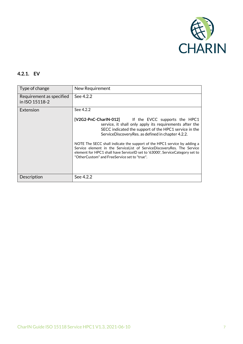

## <span id="page-6-0"></span>**4.2.1. EV**

| Type of change                             | New Requirement                                                                                                                                                                                                                                                                    |
|--------------------------------------------|------------------------------------------------------------------------------------------------------------------------------------------------------------------------------------------------------------------------------------------------------------------------------------|
| Requirement as specified<br>in ISO 15118-2 | See 4.2.2                                                                                                                                                                                                                                                                          |
| Extension                                  | See 4.2.2                                                                                                                                                                                                                                                                          |
|                                            | [V2G2-PnC-CharIN-012] If the EVCC supports the HPC1<br>service, it shall only apply its requirements after the<br>SECC indicated the support of the HPC1 service in the<br>ServiceDiscoveryRes. as defined in chapter 4.2.2.                                                       |
|                                            | NOTE The SECC shall indicate the support of the HPC1 service by adding a<br>Service element in the ServiceList of ServiceDiscoveryRes. The Service<br>element for HPC1 shall have ServiceID set to '63000', ServiceCategory set to<br>"OtherCustom" and FreeService set to "true". |
| Description                                | See 4.2.2                                                                                                                                                                                                                                                                          |
|                                            |                                                                                                                                                                                                                                                                                    |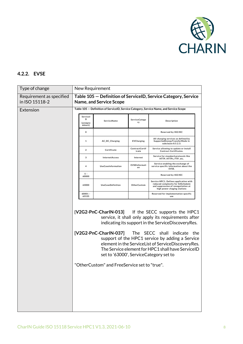

## <span id="page-7-0"></span>**4.2.2. EVSE**

| Type of change                             | New Requirement                                                                                  |                                                                                                                                |                         |                                                                                                                                                                                                                                                                                                                                                   |
|--------------------------------------------|--------------------------------------------------------------------------------------------------|--------------------------------------------------------------------------------------------------------------------------------|-------------------------|---------------------------------------------------------------------------------------------------------------------------------------------------------------------------------------------------------------------------------------------------------------------------------------------------------------------------------------------------|
| Requirement as specified<br>in ISO 15118-2 | Table 105 - Definition of ServiceID, Service Category, Service<br><b>Name, and Service Scope</b> |                                                                                                                                |                         |                                                                                                                                                                                                                                                                                                                                                   |
| Extension                                  | Table 105 - Definition of ServiceID, Service Category, Service Name, and Service Scope           |                                                                                                                                |                         |                                                                                                                                                                                                                                                                                                                                                   |
|                                            | Servicel<br>D<br>(unsigne<br>dshort)                                                             | ServiceName                                                                                                                    | ServiceCatego<br>ry     | Description                                                                                                                                                                                                                                                                                                                                       |
|                                            | 0                                                                                                |                                                                                                                                |                         | Reserved by ISO/IEC                                                                                                                                                                                                                                                                                                                               |
|                                            | 1                                                                                                | AC_DC_Charging                                                                                                                 | <b>EVCharging</b>       | All charging services as defined by<br>SupportedEnergyTransferMode in<br>subclause 8.5.2.3.                                                                                                                                                                                                                                                       |
|                                            | $\overline{\mathbf{2}}$                                                                          | Certificate                                                                                                                    | ContractCertif<br>icate | Service allowing to update or install<br><b>Contract Certificates.</b>                                                                                                                                                                                                                                                                            |
|                                            | 3                                                                                                | InternetAccess                                                                                                                 | Internet                | Service for standard protocols like<br>HTTP, HTTPs, FTP, etc.                                                                                                                                                                                                                                                                                     |
|                                            | 4                                                                                                | UseCaseInformation                                                                                                             | EVSEInformati<br>on     | Service enabling the exchange of<br>service specific information about the<br>EVSE.                                                                                                                                                                                                                                                               |
|                                            | $5 -$<br>60000                                                                                   |                                                                                                                                |                         | Reserved by ISO/IEC                                                                                                                                                                                                                                                                                                                               |
|                                            | 63000                                                                                            | <b>UseCaseDefinition</b>                                                                                                       | OtherCustom             | Service HPC1. Defines application with<br>reduced complexity for SASchedule<br>and suppression of renegotiation at<br>high power chaging stations                                                                                                                                                                                                 |
|                                            | $60001 -$<br>65535                                                                               |                                                                                                                                |                         | Reserved for implementation specific<br>use                                                                                                                                                                                                                                                                                                       |
|                                            |                                                                                                  | [V2G2-PnC-CharlN-037] The SECC shall<br>set to '63000', ServiceCategory set to<br>"OtherCustom" and FreeService set to "true". |                         | [V2G2-PnC-CharlN-013] If the SECC supports the HPC1<br>service, it shall only apply its requirements after<br>indicating its support in the ServiceDiscoveryRes.<br>indicate<br>the<br>support of the HPC1 service by adding a Service<br>element in the ServiceList of ServiceDiscoveryRes.<br>The Service element for HPC1 shall have ServiceID |
|                                            |                                                                                                  |                                                                                                                                |                         |                                                                                                                                                                                                                                                                                                                                                   |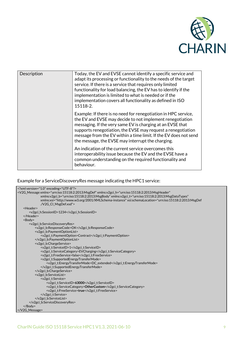

| Description | Today, the EV and EVSE cannot identify a specific service and<br>adapt its processing or functionality to the needs of the target<br>service. If there is a service that requires only limited<br>functionality for load balancing, the EV has to identify if the<br>implementation is limited to what is needed or if the<br>implementation covers all functionality as defined in ISO<br>15118-2. |
|-------------|-----------------------------------------------------------------------------------------------------------------------------------------------------------------------------------------------------------------------------------------------------------------------------------------------------------------------------------------------------------------------------------------------------|
|             | Example: If there is no need for renegotiation in HPC service,<br>the EV and EVSE may decide to not implement renegotiation<br>messaging. If the very same EV is charging at an EVSE that<br>supports renegotiation, the EVSE may request a renegotiation<br>message from the EV within a time limit. If the EV does not send<br>the message, the EVSE may interrupt the charging.                  |
|             | An indication of the current service overcomes this<br>interoperability issue because the EV and the EVSE have a<br>common understanding on the required functionality and<br>behaviour.                                                                                                                                                                                                            |

#### Example for a ServiceDiscoveryRes message indicating the HPC1 service:

```
<?xml version="1.0" encoding="UTF-8"?>
<V2G_Message xmlns="urn:iso:15118:2:2013:MsgDef" xmlns:v2gci_h="urn:iso:15118:2:2013:MsgHeader" 
              xmlns:v2gci_b="urn:iso:15118:2:2013:MsgBody" xmlns:v2gci_t="urn:iso:15118:2:2013:MsgDataTypes" 
              xmlns:xsi="http://www.w3.org/2001/XMLSchema-instance" xsi:schemaLocation="urn:iso:15118:2:2013:MsgDef 
              ./V2G_CI_MsgDef.xsd">
   <Header>
       <v2gci_h:SessionID>1234</v2gci_h:SessionID>
   </Header>
   <Body>
       <v2gci_b:ServiceDiscoveryRes>
           <v2gci_b:ResponseCode>OK</v2gci_b:ResponseCode>
           <v2gci_b:PaymentOptionList>
              <v2gci_t:PaymentOption>Contract</v2gci_t:PaymentOption>
           </v2gci_b:PaymentOptionList>
           <v2gci_b:ChargeService>
              <v2gci_t:ServiceID>1</v2gci_t:ServiceID>
              <v2gci_t:ServiceCategory>EVCharging</v2gci_t:ServiceCategory>
              <v2gci_t:FreeService>false</v2gci_t:FreeService>
              <v2gci_t:SupportedEnergyTransferMode>
                  <v2gci_t:EnergyTransferMode>DC_extended</v2gci_t:EnergyTransferMode>
              </v2gci_t:SupportedEnergyTransferMode>
           </v2gci_b:ChargeService>
           <v2gci_b:ServiceList>
              <v2gci_t:Service>
                  <v2gci_t:ServiceID>63000</v2gci_t:ServiceID>
                  <v2gci_t:ServiceCategory>OtherCustom</v2gci_t:ServiceCategory>
                  <v2gci_t:FreeService>true</v2gci_t:FreeService>
              </v2gci_t:Service>
           </v2gci_b:ServiceList>
       </v2gci_b:ServiceDiscoveryRes>
   </Body>
</V2G_Message>
```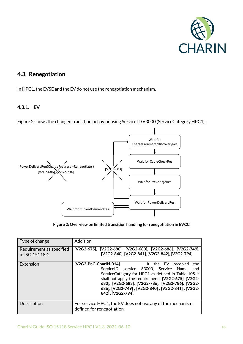

## <span id="page-9-0"></span>**4.3. Renegotiation**

In HPC1, the EVSE and the EV do not use the renegotiation mechanism.

### <span id="page-9-1"></span>**4.3.1. EV**

[Figure 2](#page-9-2) shows the changed transition behavior using Service ID 63000 (ServiceCategory HPC1).



**Figure 2: Overview on limited transition handling for renegotiation in EVCC**

<span id="page-9-2"></span>

| Type of change                             | Addition                                                                                                                                                                                                                                                                                                                                             |
|--------------------------------------------|------------------------------------------------------------------------------------------------------------------------------------------------------------------------------------------------------------------------------------------------------------------------------------------------------------------------------------------------------|
| Requirement as specified<br>in ISO 15118-2 | [V2G2-675], [V2G2-680], [V2G2-683], [V2G2-686], [V2G2-749],<br>[V2G2-840], [V2G2-841], [V2G2-842], [V2G2-794]                                                                                                                                                                                                                                        |
| Extension                                  | [V2G2-PnC-CharlN-014]<br>received<br>lf.<br>the EV<br>the<br>ServiceID service 63000, Service Name<br>and<br>ServiceCategory for HPC1 as defined in Table 105 it<br>shall not apply the requirements [V2G2-675], [V2G2-<br>680], [V2G2-683], [V2G2-786], [V2G2-786], [V2G2-<br>686], [V2G2-749], [V2G2-840], [V2G2-841], [V2G2-<br>842], [V2G2-794]. |
| Description                                | For service HPC1, the EV does not use any of the mechanisms<br>defined for renegotiation.                                                                                                                                                                                                                                                            |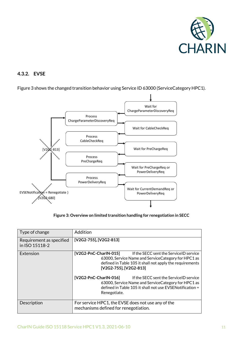

### <span id="page-10-0"></span>**4.3.2. EVSE**



[Figure 3](#page-10-1) shows the changed transition behavior using Service ID 63000 (ServiceCategory HPC1).

**Figure 3: Overview on limited transition handling for renegotiation in SECC**

<span id="page-10-1"></span>

| Type of change                             | Addition                                                                                                                                                                                                                                                                                                                                                                                                               |
|--------------------------------------------|------------------------------------------------------------------------------------------------------------------------------------------------------------------------------------------------------------------------------------------------------------------------------------------------------------------------------------------------------------------------------------------------------------------------|
| Requirement as specified<br>in ISO 15118-2 | [V2G2-755], [V2G2-813]                                                                                                                                                                                                                                                                                                                                                                                                 |
| Extension                                  | $[V2G2-PrC-CharIN-015]$<br>If the SECC sent the ServiceID service<br>63000, Service Name and Service Category for HPC1 as<br>defined in Table 105 it shall not apply the requirements<br>[V2G2-755], [V2G2-813]<br>[V2G2-PnC-CharlN-016]<br>If the SECC sent the ServiceID service<br>63000, Service Name and Service Category for HPC1 as<br>defined in Table 105 it shall not use EVSENotification =<br>Renegotiate. |
| Description                                | For service HPC1, the EVSE does not use any of the<br>mechanisms defined for renegotiation.                                                                                                                                                                                                                                                                                                                            |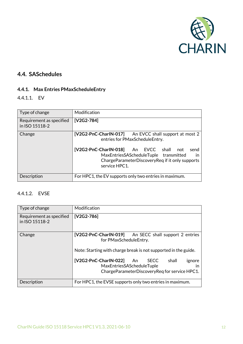

## <span id="page-11-0"></span>**4.4. SASchedules**

## <span id="page-11-1"></span>**4.4.1. Max Entries PMaxScheduleEntry**

<span id="page-11-2"></span>4.4.1.1. EV

| Type of change                             | Modification                                                                                                                                                                                                                                                                 |
|--------------------------------------------|------------------------------------------------------------------------------------------------------------------------------------------------------------------------------------------------------------------------------------------------------------------------------|
| Requirement as specified<br>in ISO 15118-2 | $[V2G2-784]$                                                                                                                                                                                                                                                                 |
| Change                                     | $[V2G2-PnC-CharIN-017]$<br>An EVCC shall support at most 2<br>entries for PMaxScheduleEntry.<br>[V2G2-PnC-CharIN-018] An EVCC shall not<br>send<br>MaxEntriesSAScheduleTuple transmitted<br>$\mathsf{I}$<br>ChargeParameterDiscoveryReq if it only supports<br>service HPC1. |
| Description                                | For HPC1, the EV supports only two entries in maximum.                                                                                                                                                                                                                       |

### <span id="page-11-3"></span>4.4.1.2. EVSE

| Type of change                             | Modification                                                                                                                                                                                                                                              |
|--------------------------------------------|-----------------------------------------------------------------------------------------------------------------------------------------------------------------------------------------------------------------------------------------------------------|
| Requirement as specified<br>in ISO 15118-2 | $[V2G2-786]$                                                                                                                                                                                                                                              |
| Change                                     | [V2G2-PnC-CharIN-019] An SECC shall support 2 entries<br>for PMaxScheduleEntry.<br>Note: Starting with charge break is not supported in the guide.<br>$[V2G2-ProC-CharIN-022]$<br><b>SECC</b><br>shall<br>An<br>ignore<br>MaxEntriesSAScheduleTuple<br>ın |
|                                            | ChargeParameterDiscoveryReg for service HPC1.                                                                                                                                                                                                             |
| Description                                | For HPC1, the EVSE supports only two entries in maximum.                                                                                                                                                                                                  |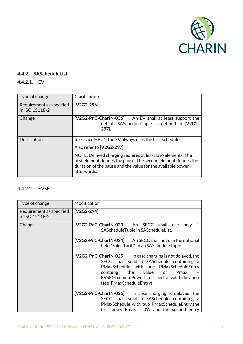

### <span id="page-12-0"></span>**4.4.2. SAScheduleList**

## <span id="page-12-1"></span>4.4.2.1. EV

| Type of change                             | Clarification                                                                                                                                                                                                                                                                                      |
|--------------------------------------------|----------------------------------------------------------------------------------------------------------------------------------------------------------------------------------------------------------------------------------------------------------------------------------------------------|
| Requirement as specified<br>in ISO 15118-2 | [V2G2-296]                                                                                                                                                                                                                                                                                         |
| Change                                     | $[V2G2-ProC-CharIN-036]$<br>An EV shall at least support the<br>default SAScheduleTuple as defined in [V2G2-<br>297].                                                                                                                                                                              |
| Description                                | In service HPC1, the EV always uses the first schedule.<br>Also refer to [V2G2-297]<br>NOTE: Delayed charging requires at least two elements. The<br>first element defines the pause. The second element defines the<br>duration of the pause and the value for the available power<br>afterwards. |

## <span id="page-12-2"></span>4.4.2.2. EVSE

| Type of change                             | Modification                                                                                                                                                                                                                                                    |
|--------------------------------------------|-----------------------------------------------------------------------------------------------------------------------------------------------------------------------------------------------------------------------------------------------------------------|
| Requirement as specified<br>in ISO 15118-2 | [V2G2-294]                                                                                                                                                                                                                                                      |
| Change                                     | [V2G2-PnC-CharIN-023] An SECC shall use<br>only<br>$\mathbf 1$<br>SAScheduleTuple in SAScheduleList.                                                                                                                                                            |
|                                            | [V2G2-PnC-CharIN-024] An SECC shall not use the optional<br>field "Sales Tariff" in an SAScheduleTuple.                                                                                                                                                         |
|                                            | [V2G2-PnC-CharIN-025] ln case charging is not delayed, the<br>SECC shall send a SASchedule containing a<br>PMaxSchedule with one PMaxScheduleEntry<br>the value of<br>containg<br>Pmax<br>EVSEMaximumPowerLimit and a valid duration<br>(see PMaxScheduleEntry) |
|                                            | [V2G2-PnC-CharIN-026] In case charging is delayed, the<br>SECC shall send a SASchedule containing a<br>PMaxSchedule with two PMaxScheduleEntry, the<br>first entry $Pmax = 0W$ and the second entry                                                             |